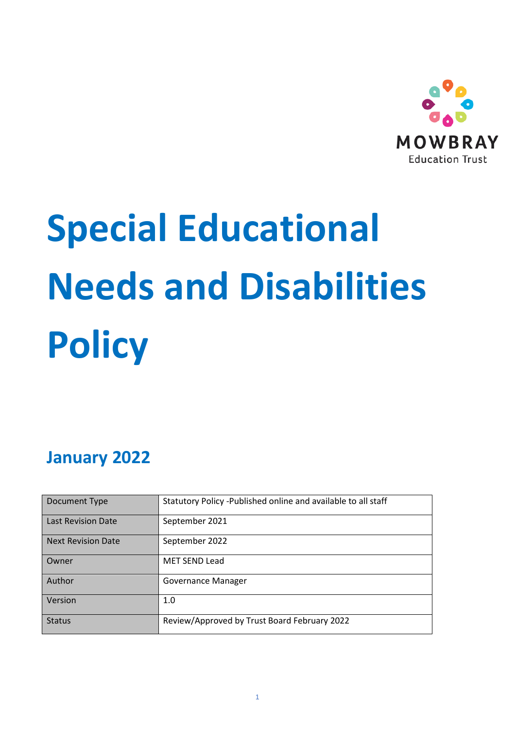

# **Special Educational Needs and Disabilities Policy**

## **January 2022**

| Document Type             | Statutory Policy -Published online and available to all staff |
|---------------------------|---------------------------------------------------------------|
| <b>Last Revision Date</b> | September 2021                                                |
| <b>Next Revision Date</b> | September 2022                                                |
| Owner                     | <b>MET SEND Lead</b>                                          |
| Author                    | Governance Manager                                            |
| Version                   | 1.0                                                           |
| <b>Status</b>             | Review/Approved by Trust Board February 2022                  |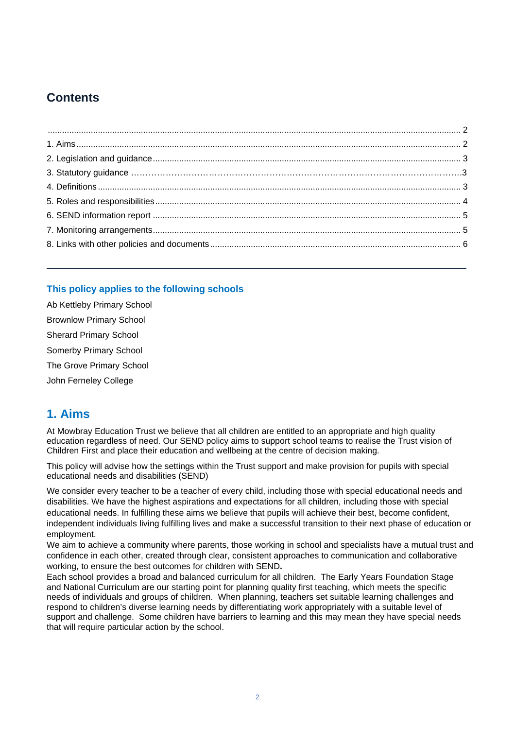## **Contents**

#### <span id="page-1-0"></span>**This policy applies to the following schools**

| Ab Kettleby Primary School     |  |  |  |  |
|--------------------------------|--|--|--|--|
| <b>Brownlow Primary School</b> |  |  |  |  |
| <b>Sherard Primary School</b>  |  |  |  |  |
| Somerby Primary School         |  |  |  |  |
| The Grove Primary School       |  |  |  |  |
| John Ferneley College          |  |  |  |  |

## <span id="page-1-1"></span>**1. Aims**

At Mowbray Education Trust we believe that all children are entitled to an appropriate and high quality education regardless of need. Our SEND policy aims to support school teams to realise the Trust vision of Children First and place their education and wellbeing at the centre of decision making.

This policy will advise how the settings within the Trust support and make provision for pupils with special educational needs and disabilities (SEND)

We consider every teacher to be a teacher of every child, including those with special educational needs and disabilities. We have the highest aspirations and expectations for all children, including those with special educational needs. In fulfilling these aims we believe that pupils will achieve their best, become confident, independent individuals living fulfilling lives and make a successful transition to their next phase of education or employment.

We aim to achieve a community where parents, those working in school and specialists have a mutual trust and confidence in each other, created through clear, consistent approaches to communication and collaborative working, to ensure the best outcomes for children with SEND**.**

Each school provides a broad and balanced curriculum for all children. The Early Years Foundation Stage and National Curriculum are our starting point for planning quality first teaching, which meets the specific needs of individuals and groups of children. When planning, teachers set suitable learning challenges and respond to children's diverse learning needs by differentiating work appropriately with a suitable level of support and challenge. Some children have barriers to learning and this may mean they have special needs that will require particular action by the school.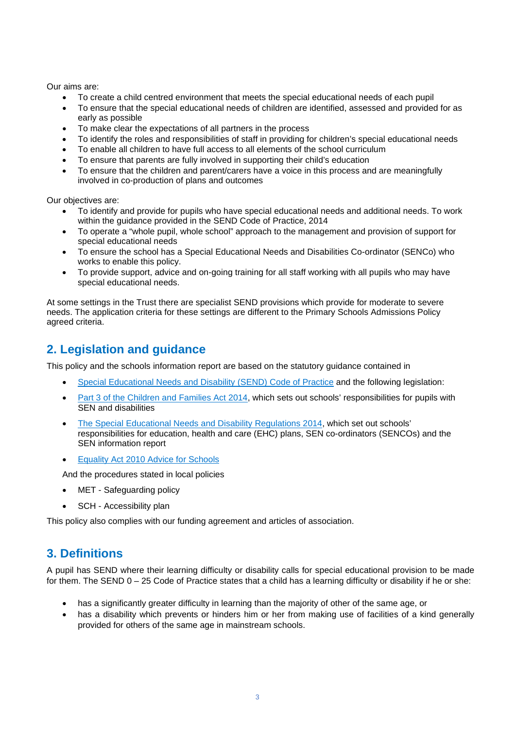Our aims are:

- To create a child centred environment that meets the special educational needs of each pupil
- To ensure that the special educational needs of children are identified, assessed and provided for as early as possible
- To make clear the expectations of all partners in the process
- To identify the roles and responsibilities of staff in providing for children's special educational needs
- To enable all children to have full access to all elements of the school curriculum
- To ensure that parents are fully involved in supporting their child's education
- To ensure that the children and parent/carers have a voice in this process and are meaningfully involved in co-production of plans and outcomes

Our objectives are:

- To identify and provide for pupils who have special educational needs and additional needs. To work within the guidance provided in the SEND Code of Practice, 2014
- To operate a "whole pupil, whole school" approach to the management and provision of support for special educational needs
- To ensure the school has a Special Educational Needs and Disabilities Co-ordinator (SENCo) who works to enable this policy.
- To provide support, advice and on-going training for all staff working with all pupils who may have special educational needs.

At some settings in the Trust there are specialist SEND provisions which provide for moderate to severe needs. The application criteria for these settings are different to the Primary Schools Admissions Policy agreed criteria.

## <span id="page-2-0"></span>**2. Legislation and guidance**

<span id="page-2-1"></span>This policy and the schools information report are based on the statutory guidance contained in

- [Special Educational Needs and Disability \(SEND\) Code of Practice](https://www.gov.uk/government/uploads/system/uploads/attachment_data/file/398815/SEND_Code_of_Practice_January_2015.pdf) and the following legislation:
- [Part 3 of the Children and Families Act 2014,](http://www.legislation.gov.uk/ukpga/2014/6/part/3) which sets out schools' responsibilities for pupils with SEN and disabilities
- [The Special Educational Needs and Disability Regulations 2014,](http://www.legislation.gov.uk/uksi/2014/1530/contents/made) which set out schools' responsibilities for education, health and care (EHC) plans, SEN co-ordinators (SENCOs) and the SEN information report
- **Equality Act 2010 Advice for Schools**

And the procedures stated in local policies

- MET Safeguarding policy
- SCH Accessibility plan

This policy also complies with our funding agreement and articles of association.

## <span id="page-2-2"></span>**3. Definitions**

A pupil has SEND where their learning difficulty or disability calls for special educational provision to be made for them. The SEND 0 – 25 Code of Practice states that a child has a learning difficulty or disability if he or she:

- has a significantly greater difficulty in learning than the majority of other of the same age, or
- has a disability which prevents or hinders him or her from making use of facilities of a kind generally provided for others of the same age in mainstream schools.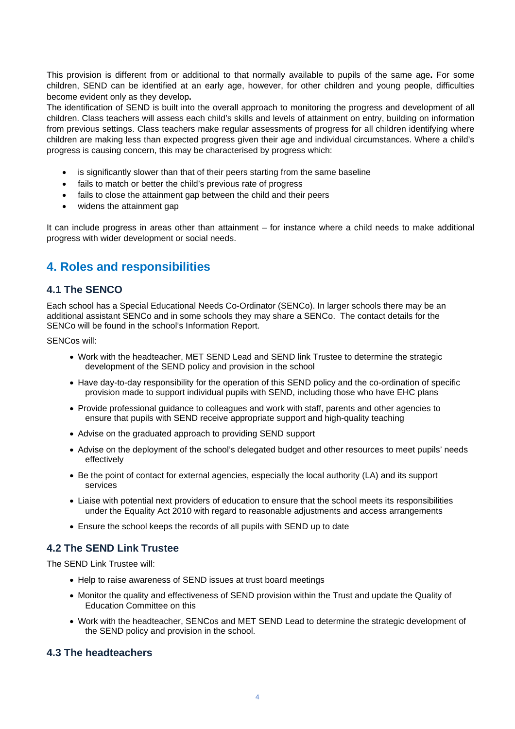This provision is different from or additional to that normally available to pupils of the same age**.** For some children, SEND can be identified at an early age, however, for other children and young people, difficulties become evident only as they develop**.**

The identification of SEND is built into the overall approach to monitoring the progress and development of all children. Class teachers will assess each child's skills and levels of attainment on entry, building on information from previous settings. Class teachers make regular assessments of progress for all children identifying where children are making less than expected progress given their age and individual circumstances. Where a child's progress is causing concern, this may be characterised by progress which:

- is significantly slower than that of their peers starting from the same baseline
- fails to match or better the child's previous rate of progress
- fails to close the attainment gap between the child and their peers
- widens the attainment gap

It can include progress in areas other than attainment – for instance where a child needs to make additional progress with wider development or social needs.

## <span id="page-3-0"></span>**4. Roles and responsibilities**

#### **4.1 The SENCO**

Each school has a Special Educational Needs Co-Ordinator (SENCo). In larger schools there may be an additional assistant SENCo and in some schools they may share a SENCo. The contact details for the SENCo will be found in the school's Information Report.

SENCos will:

- Work with the headteacher, MET SEND Lead and SEND link Trustee to determine the strategic development of the SEND policy and provision in the school
- Have day-to-day responsibility for the operation of this SEND policy and the co-ordination of specific provision made to support individual pupils with SEND, including those who have EHC plans
- Provide professional guidance to colleagues and work with staff, parents and other agencies to ensure that pupils with SEND receive appropriate support and high-quality teaching
- Advise on the graduated approach to providing SEND support
- Advise on the deployment of the school's delegated budget and other resources to meet pupils' needs effectively
- Be the point of contact for external agencies, especially the local authority (LA) and its support services
- Liaise with potential next providers of education to ensure that the school meets its responsibilities under the Equality Act 2010 with regard to reasonable adjustments and access arrangements
- Ensure the school keeps the records of all pupils with SEND up to date

#### **4.2 The SEND Link Trustee**

The SEND Link Trustee will:

- Help to raise awareness of SEND issues at trust board meetings
- Monitor the quality and effectiveness of SEND provision within the Trust and update the Quality of Education Committee on this
- Work with the headteacher, SENCos and MET SEND Lead to determine the strategic development of the SEND policy and provision in the school.

#### **4.3 The headteachers**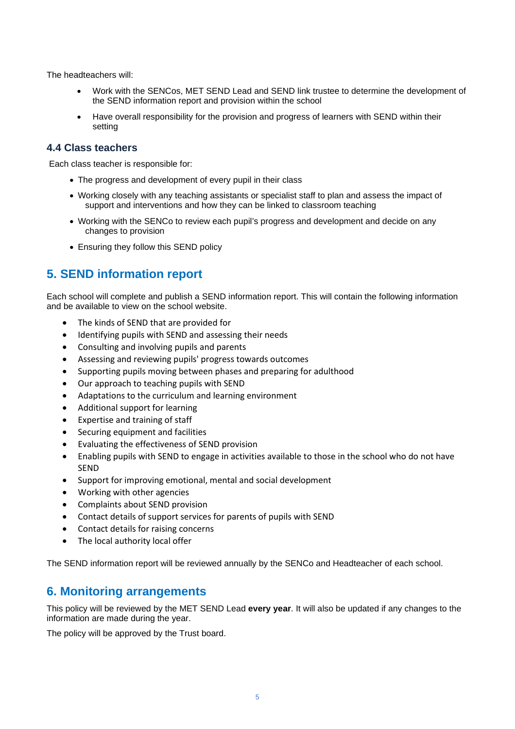The headteachers will:

- Work with the SENCos, MET SEND Lead and SEND link trustee to determine the development of the SEND information report and provision within the school
- Have overall responsibility for the provision and progress of learners with SEND within their setting

#### **4.4 Class teachers**

Each class teacher is responsible for:

- The progress and development of every pupil in their class
- Working closely with any teaching assistants or specialist staff to plan and assess the impact of support and interventions and how they can be linked to classroom teaching
- Working with the SENCo to review each pupil's progress and development and decide on any changes to provision
- Ensuring they follow this SEND policy

## <span id="page-4-0"></span>**5. SEND information report**

Each school will complete and publish a SEND information report. This will contain the following information and be available to view on the school website.

- The kinds of SEND that are provided for
- Identifying pupils with SEND and assessing their needs
- Consulting and involving pupils and parents
- Assessing and reviewing pupils' progress towards outcomes
- Supporting pupils moving between phases and preparing for adulthood
- Our approach to teaching pupils with SEND
- Adaptations to the curriculum and learning environment
- Additional support for learning
- Expertise and training of staff
- Securing equipment and facilities
- Evaluating the effectiveness of SEND provision
- Enabling pupils with SEND to engage in activities available to those in the school who do not have SEND
- Support for improving emotional, mental and social development
- Working with other agencies
- Complaints about SEND provision
- Contact details of support services for parents of pupils with SEND
- Contact details for raising concerns
- The local authority local offer

The SEND information report will be reviewed annually by the SENCo and Headteacher of each school.

## <span id="page-4-1"></span>**6. Monitoring arrangements**

This policy will be reviewed by the MET SEND Lead **every year**. It will also be updated if any changes to the information are made during the year.

The policy will be approved by the Trust board.